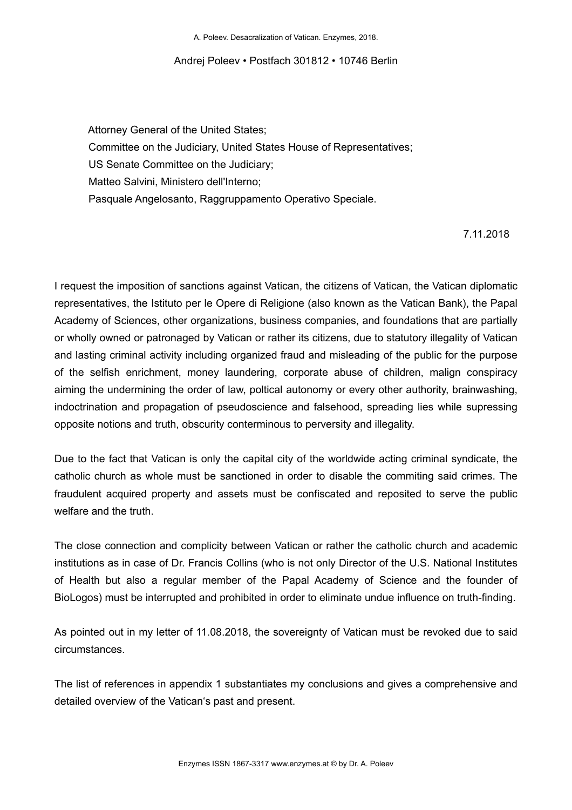A. Poleev. Desacralization of Vatican. Enzymes, 2018.

#### Andrej Poleev • Postfach 301812 • 10746 Berlin

 Attorney General of the United States; Committee on the Judiciary, United States House of Representatives; US Senate Committee on the Judiciary; Matteo Salvini, Ministero dell'Interno; Pasquale Angelosanto, Raggruppamento Operativo Speciale.

### 7.11.2018

I request the imposition of sanctions against Vatican, the citizens of Vatican, the Vatican diplomatic representatives, the Istituto per le Opere di Religione (also known as the Vatican Bank), the Papal Academy of Sciences, other organizations, business companies, and foundations that are partially or wholly owned or patronaged by Vatican or rather its citizens, due to statutory illegality of Vatican and lasting criminal activity including organized fraud and misleading of the public for the purpose of the selfish enrichment, money laundering, corporate abuse of children, malign conspiracy aiming the undermining the order of law, poltical autonomy or every other authority, brainwashing, indoctrination and propagation of pseudoscience and falsehood, spreading lies while supressing opposite notions and truth, obscurity conterminous to perversity and illegality.

Due to the fact that Vatican is only the capital city of the worldwide acting criminal syndicate, the catholic church as whole must be sanctioned in order to disable the commiting said crimes. The fraudulent acquired property and assets must be confiscated and reposited to serve the public welfare and the truth.

The close connection and complicity between Vatican or rather the catholic church and academic institutions as in case of Dr. Francis Collins (who is not only Director of the U.S. National Institutes of Health but also a regular member of the Papal Academy of Science and the founder of BioLogos) must be interrupted and prohibited in order to eliminate undue influence on truth-finding.

As pointed out in my letter of 11.08.2018, the sovereignty of Vatican must be revoked due to said circumstances.

The list of references in appendix 1 substantiates my conclusions and gives a comprehensive and detailed overview of the Vatican's past and present.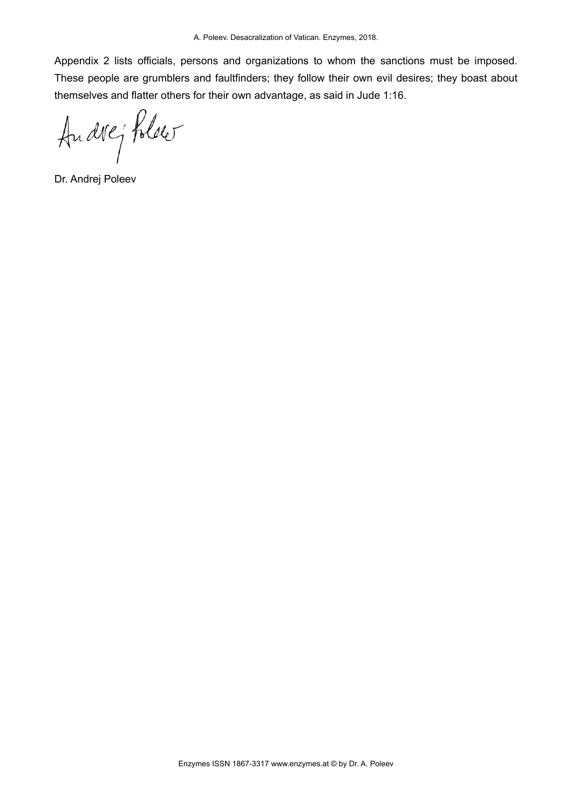Appendix 2 lists officials, persons and organizations to whom the sanctions must be imposed. These people are grumblers and faultfinders; they follow their own evil desires; they boast about themselves and flatter others for their own advantage, as said in Jude 1:16.

Andrej Polser

Dr. Andrej Poleev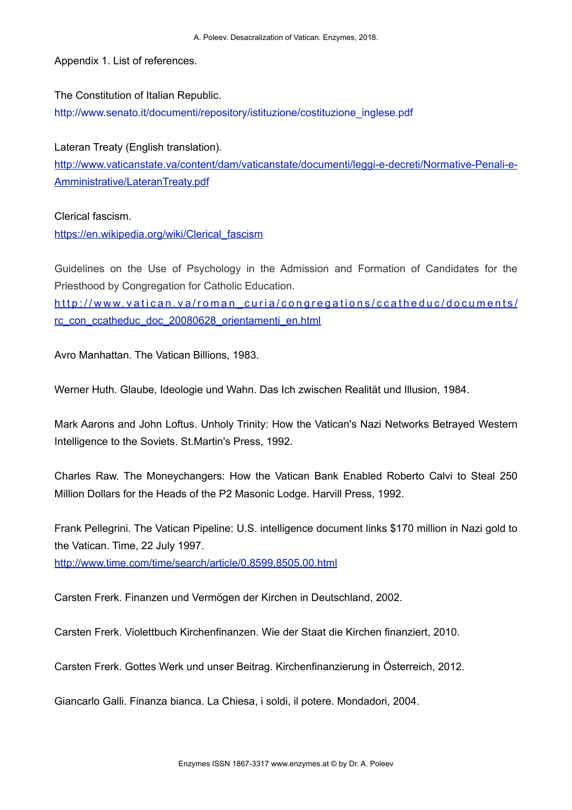Appendix 1. List of references.

The Constitution of Italian Republic. [http://www.senato.it/documenti/repository/istituzione/costituzione\\_inglese.pdf](http://www.senato.it/documenti/repository/istituzione/costituzione_inglese.pdf)

Lateran Treaty (English translation). [http://www.vaticanstate.va/content/dam/vaticanstate/documenti/leggi-e-decreti/Normative-Penali-e-](http://www.vaticanstate.va/content/dam/vaticanstate/documenti/leggi-e-decreti/Normative-Penali-e-Amministrative/LateranTreaty.pdf)[Amministrative/LateranTreaty.pdf](http://www.vaticanstate.va/content/dam/vaticanstate/documenti/leggi-e-decreti/Normative-Penali-e-Amministrative/LateranTreaty.pdf)

Clerical fascism.

[https://en.wikipedia.org/wiki/Clerical\\_fascism](https://en.wikipedia.org/wiki/Clerical_fascism)

Guidelines on the Use of Psychology in the Admission and Formation of Candidates for the Priesthood by Congregation for Catholic Education.

http://www.vatican.va/roman curia/congregations/ccatheduc/documents/ [rc\\_con\\_ccatheduc\\_doc\\_20080628\\_orientamenti\\_en.html](http://www.vatican.va/roman_curia/congregations/ccatheduc/documents/rc_con_ccatheduc_doc_20080628_orientamenti_en.html)

Avro Manhattan. The Vatican Billions, 1983.

Werner Huth. Glaube, Ideologie und Wahn. Das Ich zwischen Realität und Illusion, 1984.

Mark Aarons and John Loftus. Unholy Trinity: How the Vatican's Nazi Networks Betrayed Western Intelligence to the Soviets. St.Martin's Press, 1992.

Charles Raw. The Moneychangers: How the Vatican Bank Enabled Roberto Calvi to Steal 250 Million Dollars for the Heads of the P2 Masonic Lodge. Harvill Press, 1992.

Frank Pellegrini. The Vatican Pipeline: U.S. intelligence document links \$170 million in Nazi gold to the Vatican. Time, 22 July 1997.

<http://www.time.com/time/search/article/0,8599,8505,00.html>

Carsten Frerk. [Finanzen und Vermögen der Kirchen in Deutschland](http://carstenfrerk.de/wb/buecher/finanzen-und-vermoegen-der-kirchen-in-deutschland.php), 2002.

Carsten Frerk. [Violettbuch Kirchenfinanzen. Wie der Staat die Kirchen finanziert,](http://carstenfrerk.de/wb/buecher/violettbuch-kirchenfinanzen.php) 2010.

Carsten Frerk. [Gottes Werk und unser Beitrag. Kirchenfinanzierung in Österreich,](http://carstenfrerk.de/wb/buecher/gottes-werk-und-unser-beitrag.php) 2012.

Giancarlo Galli. Finanza bianca. La Chiesa, i soldi, il potere. Mondadori, 2004.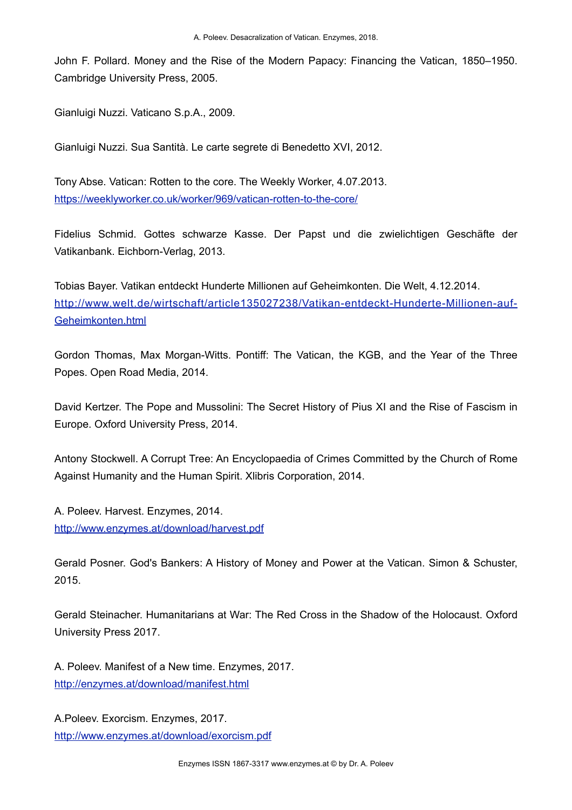John F. Pollard. Money and the Rise of the Modern Papacy: Financing the Vatican, 1850–1950. Cambridge University Press, 2005.

Gianluigi Nuzzi. Vaticano S.p.A., 2009.

Gianluigi Nuzzi. Sua Santità. Le carte segrete di Benedetto XVI, 2012.

Tony Abse. Vatican: Rotten to the core. The Weekly Worker, 4.07.2013. <https://weeklyworker.co.uk/worker/969/vatican-rotten-to-the-core/>

Fidelius Schmid. Gottes schwarze Kasse. Der Papst und die zwielichtigen Geschäfte der Vatikanbank. Eichborn-Verlag, 2013.

Tobias Bayer. Vatikan entdeckt Hunderte Millionen auf Geheimkonten. Die Welt, 4.12.2014. [http://www.welt.de/wirtschaft/article135027238/Vatikan-entdeckt-Hunderte-Millionen-auf-](http://www.welt.de/wirtschaft/article135027238/Vatikan-entdeckt-Hunderte-Millionen-auf-Geheimkonten.html)[Geheimkonten.html](http://www.welt.de/wirtschaft/article135027238/Vatikan-entdeckt-Hunderte-Millionen-auf-Geheimkonten.html)

Gordon Thomas, Max Morgan-Witts. Pontiff: The Vatican, the KGB, and the Year of the Three Popes. Open Road Media, 2014.

David Kertzer. The Pope and Mussolini: The Secret History of Pius XI and the Rise of Fascism in Europe. Oxford University Press, 2014.

Antony Stockwell. A Corrupt Tree: An Encyclopaedia of Crimes Committed by the Church of Rome Against Humanity and the Human Spirit. Xlibris Corporation, 2014.

A. Poleev. Harvest. Enzymes, 2014. <http://www.enzymes.at/download/harvest.pdf>

Gerald Posner. God's Bankers: A History of Money and Power at the Vatican. Simon & Schuster, 2015.

Gerald Steinacher. Humanitarians at War: The Red Cross in the Shadow of the Holocaust. Oxford University Press 2017.

A. Poleev. Manifest of a New time. Enzymes, 2017. <http://enzymes.at/download/manifest.html>

A.Poleev. Exorcism. Enzymes, 2017. <http://www.enzymes.at/download/exorcism.pdf>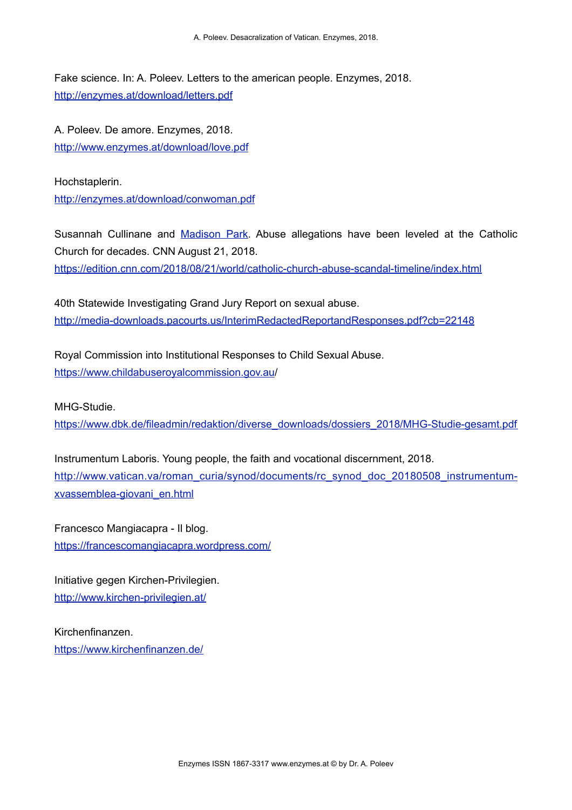Fake science. In: A. Poleev. Letters to the american people. Enzymes, 2018. <http://enzymes.at/download/letters.pdf>

A. Poleev. De amore. Enzymes, 2018. <http://www.enzymes.at/download/love.pdf>

Hochstaplerin. <http://enzymes.at/download/conwoman.pdf>

Susannah Cullinane and [Madison Park.](https://edition.cnn.com/profiles/madison-park) Abuse allegations have been leveled at the Catholic Church for decades. CNN August 21, 2018. <https://edition.cnn.com/2018/08/21/world/catholic-church-abuse-scandal-timeline/index.html>

40th Statewide Investigating Grand Jury Report on sexual abuse. <http://media-downloads.pacourts.us/InterimRedactedReportandResponses.pdf?cb=22148>

Royal Commission into Institutional Responses to Child Sexual Abuse. [https://www.childabuseroyalcommission.gov.au/](https://www.childabuseroyalcommission.gov.au)

MHG-Studie.

[https://www.dbk.de/fileadmin/redaktion/diverse\\_downloads/dossiers\\_2018/MHG-Studie-gesamt.pdf](https://www.dbk.de/fileadmin/redaktion/diverse_downloads/dossiers_2018/MHG-Studie-gesamt.pdf)

Instrumentum Laboris. Young people, the faith and vocational discernment, 2018. [http://www.vatican.va/roman\\_curia/synod/documents/rc\\_synod\\_doc\\_20180508\\_instrumentum](http://www.vatican.va/roman_curia/synod/documents/rc_synod_doc_20180508_instrumentum-xvassemblea-giovani_en.html)[xvassemblea-giovani\\_en.html](http://www.vatican.va/roman_curia/synod/documents/rc_synod_doc_20180508_instrumentum-xvassemblea-giovani_en.html)

Francesco Mangiacapra - Il blog. <https://francescomangiacapra.wordpress.com/>

Initiative gegen Kirchen-Privilegien. <http://www.kirchen-privilegien.at/>

Kirchenfinanzen. <https://www.kirchenfinanzen.de/>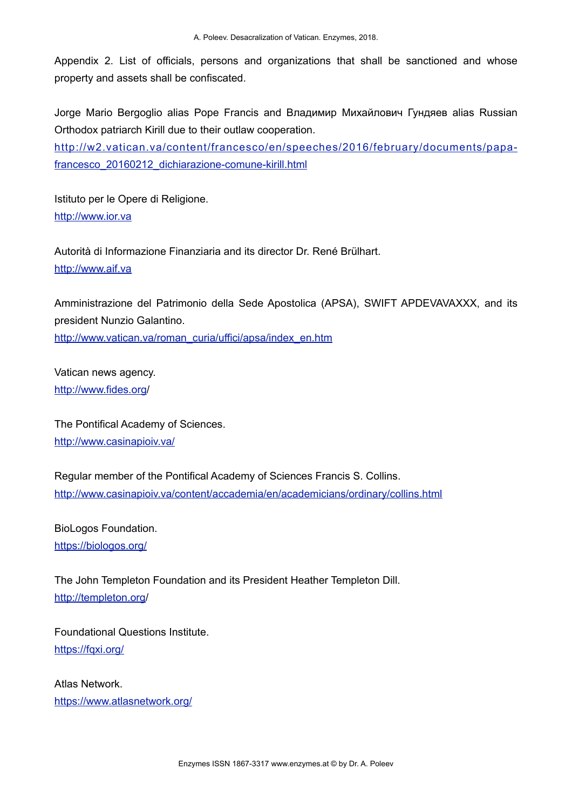Appendix 2. List of officials, persons and organizations that shall be sanctioned and whose property and assets shall be confiscated.

Jorge Mario Bergoglio alias Pope Francis and Владимир Михайлович Гундяев alias Russian Orthodox patriarch Kirill due to their outlaw cooperation.

[http://w2.vatican.va/content/francesco/en/speeches/2016/february/documents/papa](http://w2.vatican.va/content/francesco/en/speeches/2016/february/documents/papa-francesco_20160212_dichiarazione-comune-kirill.html)[francesco\\_20160212\\_dichiarazione-comune-kirill.html](http://w2.vatican.va/content/francesco/en/speeches/2016/february/documents/papa-francesco_20160212_dichiarazione-comune-kirill.html)

Istituto per le Opere di Religione. [http://www.ior.va](http://www.ior.va/)

Autorità di Informazione Finanziaria and its director Dr. René Brülhart. [http://www.aif.va](http://www.aif.va/)

Amministrazione del Patrimonio della Sede Apostolica (APSA), SWIFT APDEVAVAXXX, and its president Nunzio Galantino. [http://www.vatican.va/roman\\_curia/uffici/apsa/index\\_en.htm](http://www.vatican.va/roman_curia/uffici/apsa/index_en.htm)

Vatican news agency. [http://www.fides.org/](http://www.fides.org)

The Pontifical Academy of Sciences. <http://www.casinapioiv.va/>

Regular member of the Pontifical Academy of Sciences Francis S. Collins. <http://www.casinapioiv.va/content/accademia/en/academicians/ordinary/collins.html>

BioLogos Foundation. <https://biologos.org/>

The John Templeton Foundation and its President Heather Templeton Dill. <http://templeton.org>/

Foundational Questions Institute. <https://fqxi.org/>

Atlas Network. <https://www.atlasnetwork.org/>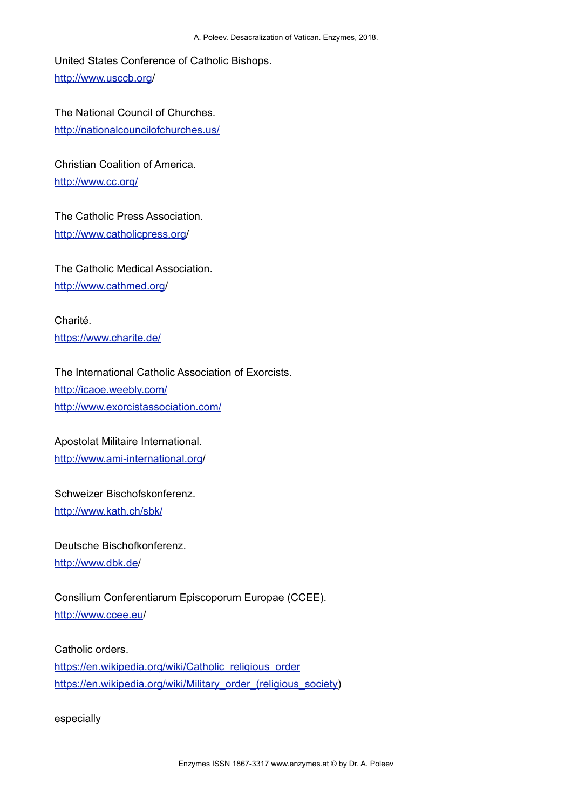United States Conference of Catholic Bishops. <http://www.usccb.org>/

The National Council of Churches. <http://nationalcouncilofchurches.us/>

Christian Coalition of America. <http://www.cc.org/>

The Catholic Press Association. [http://www.catholicpress.org/](http://www.catholicpress.org)

The Catholic Medical Association. [http://www.cathmed.org/](http://www.cathmed.org)

Charité. <https://www.charite.de/>

The International Catholic Association of Exorcists. <http://icaoe.weebly.com/> <http://www.exorcistassociation.com/>

Apostolat Militaire International. [http://www.ami-international.org/](http://www.ami-international.org)

Schweizer Bischofskonferenz. <http://www.kath.ch/sbk/>

Deutsche Bischofkonferenz. [http://www.dbk.de/](http://www.dbk.de)

Consilium Conferentiarum Episcoporum Europae (CCEE). <http://www.ccee.eu>/

Catholic orders. [https://en.wikipedia.org/wiki/Catholic\\_religious\\_order](https://en.wikipedia.org/wiki/Catholic_religious_order) [https://en.wikipedia.org/wiki/Military\\_order\\_\(religious\\_society](https://en.wikipedia.org/wiki/Military_order_(religious_society))

especially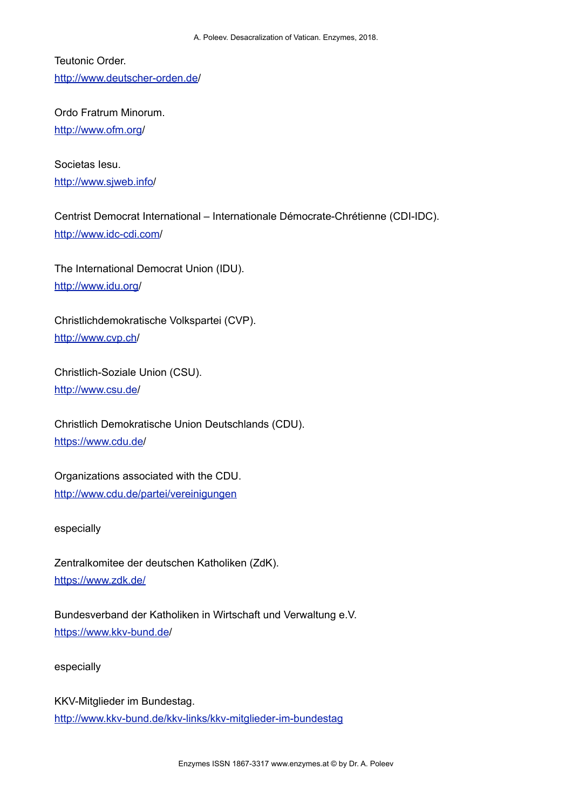Teutonic Order. [http://www.deutscher-orden.de/](http://www.deutscher-orden.de)

Ordo Fratrum Minorum. [http://www.ofm.org/](http://www.ofm.org)

Societas Iesu. <http://www.sjweb.info>/

# Centrist Democrat International – Internationale Démocrate-Chrétienne (CDI-IDC). <http://www.idc-cdi.com>/

The International Democrat Union (IDU). <http://www.idu.org>/

Christlichdemokratische Volkspartei (CVP). <http://www.cvp.ch>/

Christlich-Soziale Union (CSU). [http://www.csu.de/](http://www.csu.de)

Christlich Demokratische Union Deutschlands (CDU). <https://www.cdu.de>/

Organizations associated with the CDU. <http://www.cdu.de/partei/vereinigungen>

especially

Zentralkomitee der deutschen Katholiken (ZdK). <https://www.zdk.de/>

Bundesverband der Katholiken in Wirtschaft und Verwaltung e.V. [https://www.kkv-bund.de/](https://www.kkv-bund.de)

especially

KKV-Mitglieder im Bundestag. <http://www.kkv-bund.de/kkv-links/kkv-mitglieder-im-bundestag>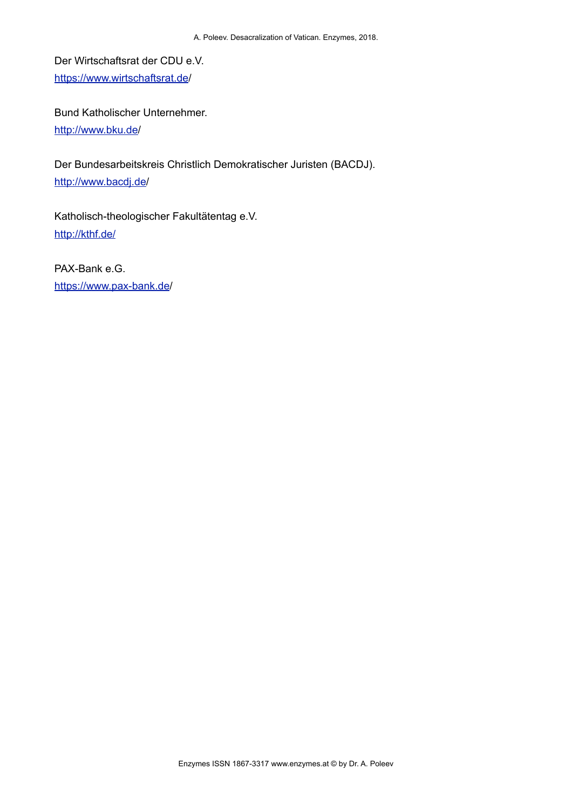Der Wirtschaftsrat der CDU e.V. <https://www.wirtschaftsrat.de>/

Bund Katholischer Unternehmer. [http://www.bku.de/](http://www.bku.de)

Der Bundesarbeitskreis Christlich Demokratischer Juristen (BACDJ). <http://www.bacdj.de>/

Katholisch-theologischer Fakultätentag e.V. <http://kthf.de/>

PAX-Bank e.G. [https://www.pax-bank.de/](https://www.pax-bank.de)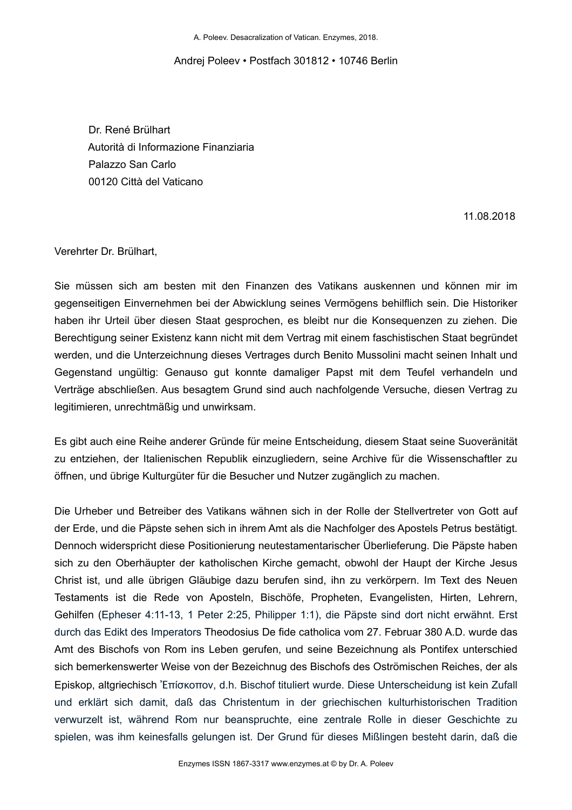A. Poleev. Desacralization of Vatican. Enzymes, 2018.

### Andrej Poleev • Postfach 301812 • 10746 Berlin

 Dr. René Brülhart Autorità di Informazione Finanziaria Palazzo San Carlo 00120 Città del Vaticano

11.08.2018

Verehrter Dr. Brülhart,

Sie müssen sich am besten mit den Finanzen des Vatikans auskennen und können mir im gegenseitigen Einvernehmen bei der Abwicklung seines Vermögens behilflich sein. Die Historiker haben ihr Urteil über diesen Staat gesprochen, es bleibt nur die Konsequenzen zu ziehen. Die Berechtigung seiner Existenz kann nicht mit dem Vertrag mit einem faschistischen Staat begründet werden, und die Unterzeichnung dieses Vertrages durch Benito Mussolini macht seinen Inhalt und Gegenstand ungültig: Genauso gut konnte damaliger Papst mit dem Teufel verhandeln und Verträge abschließen. Aus besagtem Grund sind auch nachfolgende Versuche, diesen Vertrag zu legitimieren, unrechtmäßig und unwirksam.

Es gibt auch eine Reihe anderer Gründe für meine Entscheidung, diesem Staat seine Suoveränität zu entziehen, der Italienischen Republik einzugliedern, seine Archive für die Wissenschaftler zu öffnen, und übrige Kulturgüter für die Besucher und Nutzer zugänglich zu machen.

Die Urheber und Betreiber des Vatikans wähnen sich in der Rolle der Stellvertreter von Gott auf der Erde, und die Päpste sehen sich in ihrem Amt als die Nachfolger des Apostels Petrus bestätigt. Dennoch widerspricht diese Positionierung neutestamentarischer Überlieferung. Die Päpste haben sich zu den Oberhäupter der katholischen Kirche gemacht, obwohl der Haupt der Kirche Jesus Christ ist, und alle übrigen Gläubige dazu berufen sind, ihn zu verkörpern. Im Text des Neuen Testaments ist die Rede von Aposteln, Bischöfe, Propheten, Evangelisten, Hirten, Lehrern, Gehilfen (Epheser 4:11-13, 1 Peter 2:25, Philipper 1:1), die Päpste sind dort nicht erwähnt. Erst durch das Edikt des Imperators Theodosius De fide catholica vom 27. Februar 380 A.D. wurde das Amt des Bischofs von Rom ins Leben gerufen, und seine Bezeichnung als Pontifex unterschied sich bemerkenswerter Weise von der Bezeichnug des Bischofs des Oströmischen Reiches, der als Episkop, altgriechisch Ἐπίσκοπον, d.h. Bischof tituliert wurde. Diese Unterscheidung ist kein Zufall und erklärt sich damit, daß das Christentum in der griechischen kulturhistorischen Tradition verwurzelt ist, während Rom nur beanspruchte, eine zentrale Rolle in dieser Geschichte zu spielen, was ihm keinesfalls gelungen ist. Der Grund für dieses Mißlingen besteht darin, daß die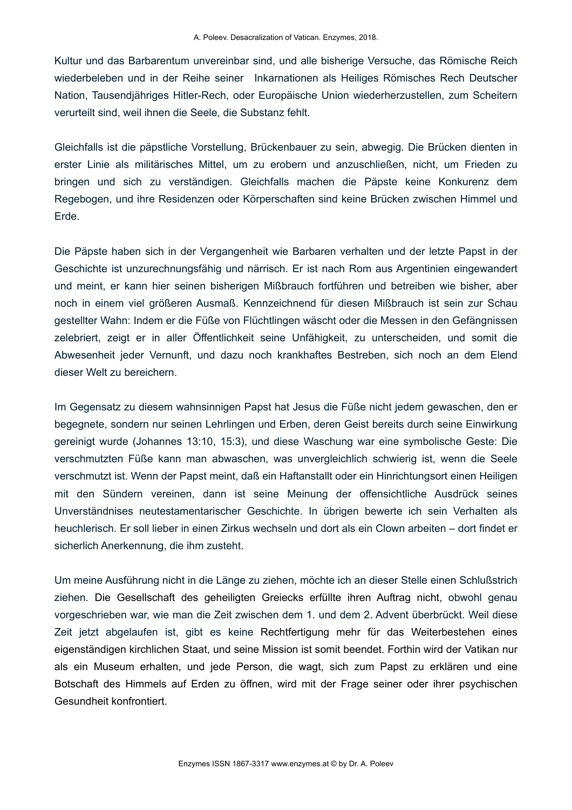Kultur und das Barbarentum unvereinbar sind, und alle bisherige Versuche, das Römische Reich wiederbeleben und in der Reihe seiner Inkarnationen als Heiliges Römisches Rech Deutscher Nation, Tausendjähriges Hitler-Rech, oder Europäische Union wiederherzustellen, zum Scheitern verurteilt sind, weil ihnen die Seele, die Substanz fehlt.

Gleichfalls ist die päpstliche Vorstellung, Brückenbauer zu sein, abwegig. Die Brücken dienten in erster Linie als militärisches Mittel, um zu erobern und anzuschließen, nicht, um Frieden zu bringen und sich zu verständigen. Gleichfalls machen die Päpste keine Konkurenz dem Regebogen, und ihre Residenzen oder Körperschaften sind keine Brücken zwischen Himmel und Erde.

Die Päpste haben sich in der Vergangenheit wie Barbaren verhalten und der letzte Papst in der Geschichte ist unzurechnungsfähig und närrisch. Er ist nach Rom aus Argentinien eingewandert und meint, er kann hier seinen bisherigen Mißbrauch fortführen und betreiben wie bisher, aber noch in einem viel größeren Ausmaß. Kennzeichnend für diesen Mißbrauch ist sein zur Schau gestellter Wahn: Indem er die Füße von Flüchtlingen wäscht oder die Messen in den Gefängnissen zelebriert, zeigt er in aller Öffentlichkeit seine Unfähigkeit, zu unterscheiden, und somit die Abwesenheit jeder Vernunft, und dazu noch krankhaftes Bestreben, sich noch an dem Elend dieser Welt zu bereichern.

Im Gegensatz zu diesem wahnsinnigen Papst hat Jesus die Füße nicht jedem gewaschen, den er begegnete, sondern nur seinen Lehrlingen und Erben, deren Geist bereits durch seine Einwirkung gereinigt wurde (Johannes 13:10, 15:3), und diese Waschung war eine symbolische Geste: Die verschmutzten Füße kann man abwaschen, was unvergleichlich schwierig ist, wenn die Seele verschmutzt ist. Wenn der Papst meint, daß ein Haftanstallt oder ein Hinrichtungsort einen Heiligen mit den Sündern vereinen, dann ist seine Meinung der offensichtliche Ausdrück seines Unverständnises neutestamentarischer Geschichte. In übrigen bewerte ich sein Verhalten als heuchlerisch. Er soll lieber in einen Zirkus wechseln und dort als ein Clown arbeiten – dort findet er sicherlich Anerkennung, die ihm zusteht.

Um meine Ausführung nicht in die Länge zu ziehen, möchte ich an dieser Stelle einen Schlußstrich ziehen. Die Gesellschaft des geheiligten Greiecks erfüllte ihren Auftrag nicht, obwohl genau vorgeschrieben war, wie man die Zeit zwischen dem 1. und dem 2. Advent überbrückt. Weil diese Zeit jetzt abgelaufen ist, gibt es keine Rechtfertigung mehr für das Weiterbestehen eines eigenständigen kirchlichen Staat, und seine Mission ist somit beendet. Forthin wird der Vatikan nur als ein Museum erhalten, und jede Person, die wagt, sich zum Papst zu erklären und eine Botschaft des Himmels auf Erden zu öffnen, wird mit der Frage seiner oder ihrer psychischen Gesundheit konfrontiert.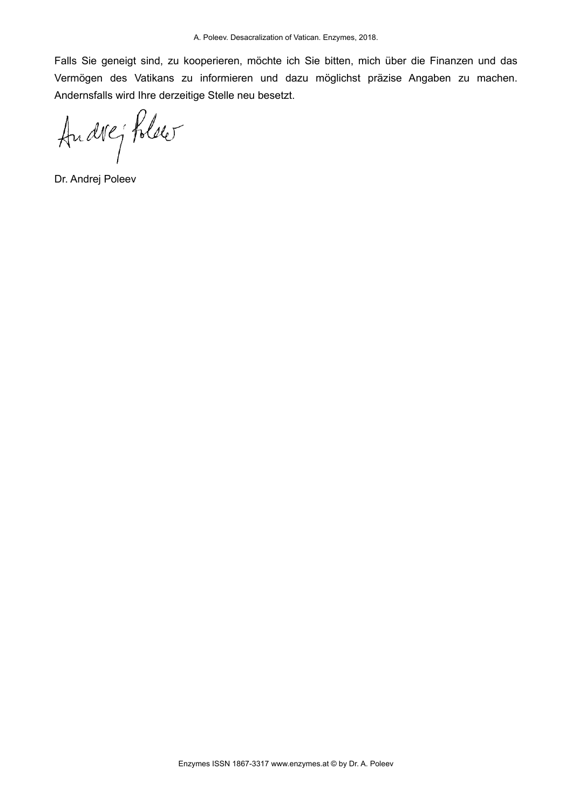Falls Sie geneigt sind, zu kooperieren, möchte ich Sie bitten, mich über die Finanzen und das Vermögen des Vatikans zu informieren und dazu möglichst präzise Angaben zu machen. Andernsfalls wird Ihre derzeitige Stelle neu besetzt.

Andrey Polser

Dr. Andrej Poleev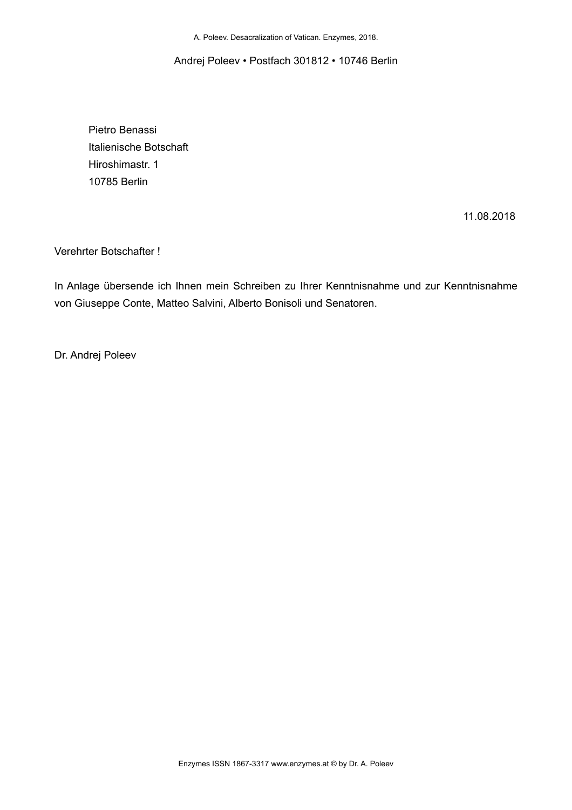Andrej Poleev • Postfach 301812 • 10746 Berlin

 Pietro Benassi Italienische Botschaft Hiroshimastr. 1 10785 Berlin

11.08.2018

Verehrter Botschafter !

In Anlage übersende ich Ihnen mein Schreiben zu Ihrer Kenntnisnahme und zur Kenntnisnahme von Giuseppe Conte, Matteo Salvini, Alberto Bonisoli und Senatoren.

Dr. Andrej Poleev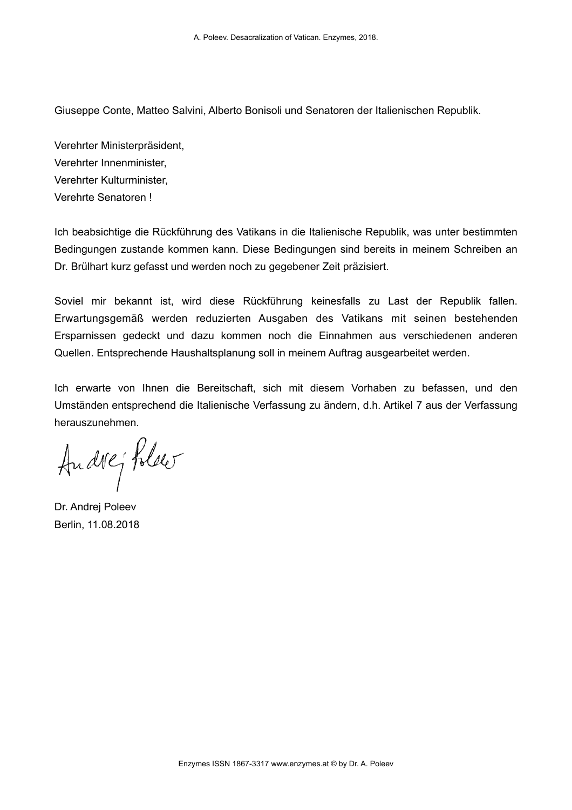Giuseppe Conte, Matteo Salvini, Alberto Bonisoli und Senatoren der Italienischen Republik.

Verehrter Ministerpräsident, Verehrter Innenminister, Verehrter Kulturminister, Verehrte Senatoren !

Ich beabsichtige die Rückführung des Vatikans in die Italienische Republik, was unter bestimmten Bedingungen zustande kommen kann. Diese Bedingungen sind bereits in meinem Schreiben an Dr. Brülhart kurz gefasst und werden noch zu gegebener Zeit präzisiert.

Soviel mir bekannt ist, wird diese Rückführung keinesfalls zu Last der Republik fallen. Erwartungsgemäß werden reduzierten Ausgaben des Vatikans mit seinen bestehenden Ersparnissen gedeckt und dazu kommen noch die Einnahmen aus verschiedenen anderen Quellen. Entsprechende Haushaltsplanung soll in meinem Auftrag ausgearbeitet werden.

Ich erwarte von Ihnen die Bereitschaft, sich mit diesem Vorhaben zu befassen, und den Umständen entsprechend die Italienische Verfassung zu ändern, d.h. Artikel 7 aus der Verfassung herauszunehmen.

Andrej Polser

Dr. Andrej Poleev Berlin, 11.08.2018